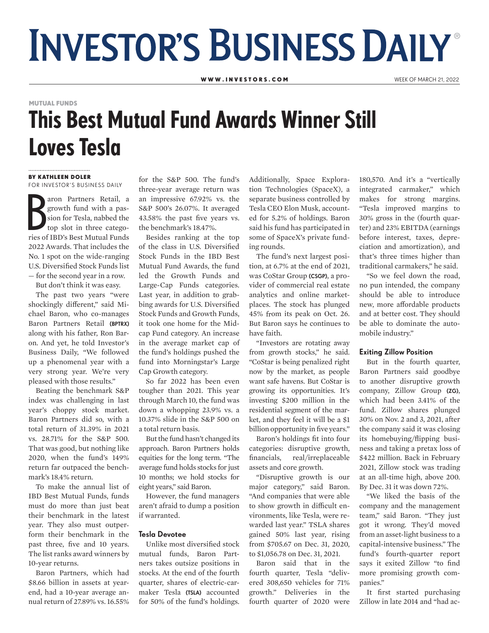# **INVESTOR'S BUSINESS DAILY®**

W W W . IN VESTORS . COM WEEK OF MARCH 21, 2022

## This Best Mutual Fund Awards Winner Still Loves Tesla MUTUAL FUNDS

#### BY KATHLEEN DOLER

FOR INVESTOR'S BUSINESS DAILY

FOR INVESTOR 3 BOSINESS DAILY<br>
aron Partners Retail, a<br>
growth fund with a passion for Tesla, nabbed the<br>
top slot in three catego-<br>
ries of IBD's Best Mutual Funds aron Partners Retail, a growth fund with a passion for Tesla, nabbed the top slot in three catego-2022 Awards. That includes the No. 1 spot on the wide-ranging U.S. Diversified Stock Funds list — for the second year in a row.

But don't think it was easy.

The past two years "were shockingly different," said Michael Baron, who co-manages Baron Partners Retail (BPTRX) along with his father, Ron Baron. And yet, he told Investor's Business Daily, "We followed up a phenomenal year with a very strong year. We're very pleased with those results."

Beating the benchmark S&P index was challenging in last year's choppy stock market. Baron Partners did so, with a total return of 31.39% in 2021 vs. 28.71% for the S&P 500. That was good, but nothing like 2020, when the fund's 149% return far outpaced the benchmark's 18.4% return.

To make the annual list of IBD Best Mutual Funds, funds must do more than just beat their benchmark in the latest year. They also must outperform their benchmark in the past three, five and 10 years. The list ranks award winners by 10-year returns.

Baron Partners, which had \$8.66 billion in assets at yearend, had a 10-year average annual return of 27.89% vs. 16.55%

for the S&P 500. The fund's three-year average return was an impressive 67.92% vs. the S&P 500's 26.07%. It averaged 43.58% the past five years vs. the benchmark's 18.47%.

Besides ranking at the top of the class in U.S. Diversified Stock Funds in the IBD Best Mutual Fund Awards, the fund led the Growth Funds and Large-Cap Funds categories. Last year, in addition to grabbing awards for U.S. Diversified Stock Funds and Growth Funds, it took one home for the Midcap Fund category. An increase in the average market cap of the fund's holdings pushed the fund into Morningstar's Large Cap Growth category.

So far 2022 has been even tougher than 2021. This year through March 10, the fund was down a whopping 23.9% vs. a 10.37% slide in the S&P 500 on a total return basis.

But the fund hasn't changed its approach. Baron Partners holds equities for the long term. "The average fund holds stocks for just 10 months; we hold stocks for eight years," said Baron.

However, the fund managers aren't afraid to dump a position if warranted.

#### Tesla Devotee

Unlike most diversified stock mutual funds, Baron Partners takes outsize positions in stocks. At the end of the fourth quarter, shares of electric-carmaker Tesla (TSLA) accounted for 50% of the fund's holdings.

Additionally, Space Exploration Technologies (SpaceX), a separate business controlled by Tesla CEO Elon Musk, accounted for 5.2% of holdings. Baron said his fund has participated in some of SpaceX's private funding rounds.

The fund's next largest position, at 6.7% at the end of 2021, was CoStar Group (CSGP), a provider of commercial real estate analytics and online marketplaces. The stock has plunged 45% from its peak on Oct. 26. But Baron says he continues to have faith.

"Investors are rotating away from growth stocks," he said. "CoStar is being penalized right now by the market, as people want safe havens. But CoStar is growing its opportunities. It's investing \$200 million in the residential segment of the market, and they feel it will be a \$1 billion opportunity in five years."

Baron's holdings fit into four categories: disruptive growth, financials, real/irreplaceable assets and core growth.

"Disruptive growth is our major category," said Baron. "And companies that were able to show growth in difficult environments, like Tesla, were rewarded last year." TSLA shares gained 50% last year, rising from \$705.67 on Dec. 31, 2020, to \$1,056.78 on Dec. 31, 2021.

Baron said that in the fourth quarter, Tesla "delivered 308,650 vehicles for 71% growth." Deliveries in the fourth quarter of 2020 were

180,570. And it's a "vertically integrated carmaker," which makes for strong margins. "Tesla improved margins to 30% gross in the (fourth quarter) and 23% EBITDA (earnings before interest, taxes, depreciation and amortization), and that's three times higher than traditional carmakers," he said.

"So we feel down the road, no pun intended, the company should be able to introduce new, more affordable products and at better cost. They should be able to dominate the automobile industry."

#### Exiting Zillow Position

But in the fourth quarter, Baron Partners said goodbye to another disruptive growth company, Zillow Group (ZG), which had been 3.41% of the fund. Zillow shares plunged 30% on Nov. 2 and 3, 2021, after the company said it was closing its homebuying/flipping business and taking a pretax loss of \$422 million. Back in February 2021, Zillow stock was trading at an all-time high, above 200. By Dec. 31 it was down 72%.

"We liked the basis of the company and the management team," said Baron. "They just got it wrong. They'd moved from an asset-light business to a capital-intensive business." The fund's fourth-quarter report says it exited Zillow "to find more promising growth companies."

It first started purchasing Zillow in late 2014 and "had ac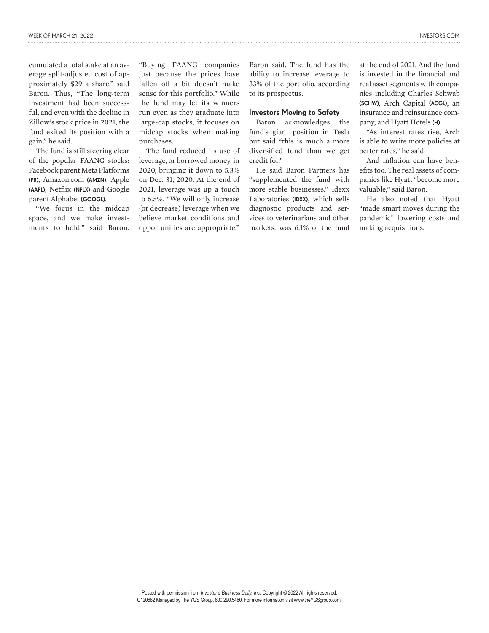cumulated a total stake at an average split-adjusted cost of approximately \$29 a share," said Baron. Thus, "The long-term investment had been successful, and even with the decline in Zillow's stock price in 2021, the fund exited its position with a gain," he said.

The fund is still steering clear of the popular FAANG stocks: Facebook parent Meta Platforms (FB), Amazon.com (AMZN), Apple (AAPL), Netflix (NFLX) and Google parent Alphabet (GOOGL).

"We focus in the midcap space, and we make investments to hold," said Baron. "Buying FAANG companies just because the prices have fallen off a bit doesn't make sense for this portfolio." While the fund may let its winners run even as they graduate into large-cap stocks, it focuses on midcap stocks when making purchases.

The fund reduced its use of leverage, or borrowed money, in 2020, bringing it down to 5.3% on Dec. 31, 2020. At the end of 2021, leverage was up a touch to 6.5%. "We will only increase (or decrease) leverage when we believe market conditions and opportunities are appropriate,"

Baron said. The fund has the ability to increase leverage to 33% of the portfolio, according to its prospectus.

#### Investors Moving to Safety

Baron acknowledges the fund's giant position in Tesla but said "this is much a more diversified fund than we get credit for."

He said Baron Partners has "supplemented the fund with more stable businesses." Idexx Laboratories (IDXX), which sells diagnostic products and services to veterinarians and other markets, was 6.1% of the fund

at the end of 2021. And the fund is invested in the financial and real asset segments with companies including Charles Schwab (SCHW); Arch Capital (ACGL), an insurance and reinsurance company; and Hyatt Hotels (H).

"As interest rates rise, Arch is able to write more policies at better rates," he said.

And inflation can have benefits too. The real assets of companies like Hyatt "become more valuable," said Baron.

He also noted that Hyatt "made smart moves during the pandemic" lowering costs and making acquisitions.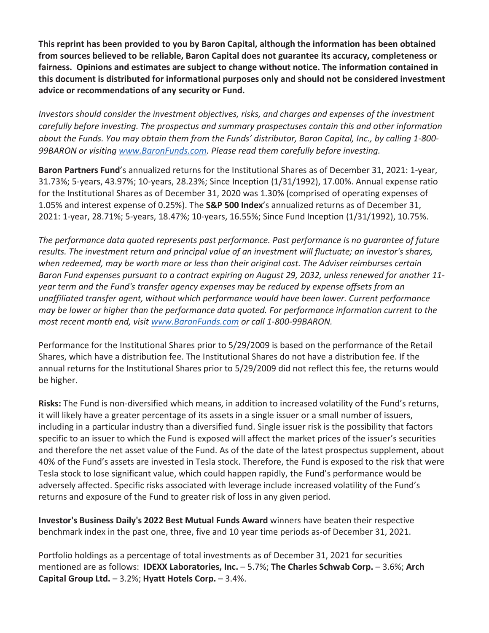**This reprint has been provided to you by Baron Capital, although the information has been obtained from sources believed to be reliable, Baron Capital does not guarantee its accuracy, completeness or fairness. Opinions and estimates are subject to change without notice. The information contained in this document is distributed for informational purposes only and should not be considered investment advice or recommendations of any security or Fund.**

*Investors should consider the investment objectives, risks, and charges and expenses of the investment carefully before investing. The prospectus and summary prospectuses contain this and other information about the Funds. You may obtain them from the Funds' distributor, Baron Capital, Inc., by calling 1-800- 99BARON or visiting www.BaronFunds.com. Please read them carefully before investing.*

**Baron Partners Fund**'s annualized returns for the Institutional Shares as of December 31, 2021: 1-year, 31.73%; 5-years, 43.97%; 10-years, 28.23%; Since Inception (1/31/1992), 17.00%. Annual expense ratio for the Institutional Shares as of December 31, 2020 was 1.30% (comprised of operating expenses of 1.05% and interest expense of 0.25%). The **S&P 500 Index**'s annualized returns as of December 31, 2021: 1-year, 28.71%; 5-years, 18.47%; 10-years, 16.55%; Since Fund Inception (1/31/1992), 10.75%.

*The performance data quoted represents past performance. Past performance is no guarantee of future results. The investment return and principal value of an investment will fluctuate; an investor's shares, when redeemed, may be worth more or less than their original cost. The Adviser reimburses certain Baron Fund expenses pursuant to a contract expiring on August 29, 2032, unless renewed for another 11 year term and the Fund's transfer agency expenses may be reduced by expense offsets from an unaffiliated transfer agent, without which performance would have been lower. Current performance may be lower or higher than the performance data quoted. For performance information current to the most recent month end, visit www.BaronFunds.com or call 1-800-99BARON.*

Performance for the Institutional Shares prior to 5/29/2009 is based on the performance of the Retail Shares, which have a distribution fee. The Institutional Shares do not have a distribution fee. If the annual returns for the Institutional Shares prior to 5/29/2009 did not reflect this fee, the returns would be higher.

**Risks:** The Fund is non-diversified which means, in addition to increased volatility of the Fund's returns, it will likely have a greater percentage of its assets in a single issuer or a small number of issuers, including in a particular industry than a diversified fund. Single issuer risk is the possibility that factors specific to an issuer to which the Fund is exposed will affect the market prices of the issuer's securities and therefore the net asset value of the Fund. As of the date of the latest prospectus supplement, about 40% of the Fund's assets are invested in Tesla stock. Therefore, the Fund is exposed to the risk that were Tesla stock to lose significant value, which could happen rapidly, the Fund's performance would be adversely affected. Specific risks associated with leverage include increased volatility of the Fund's returns and exposure of the Fund to greater risk of loss in any given period.

**Investor's Business Daily's 2022 Best Mutual Funds Award** winners have beaten their respective benchmark index in the past one, three, five and 10 year time periods as-of December 31, 2021.

Portfolio holdings as a percentage of total investments as of December 31, 2021 for securities mentioned are as follows: **IDEXX Laboratories, Inc.** – 5.7%; **The Charles Schwab Corp.** – 3.6%; **Arch Capital Group Ltd.** – 3.2%; **Hyatt Hotels Corp.** – 3.4%.